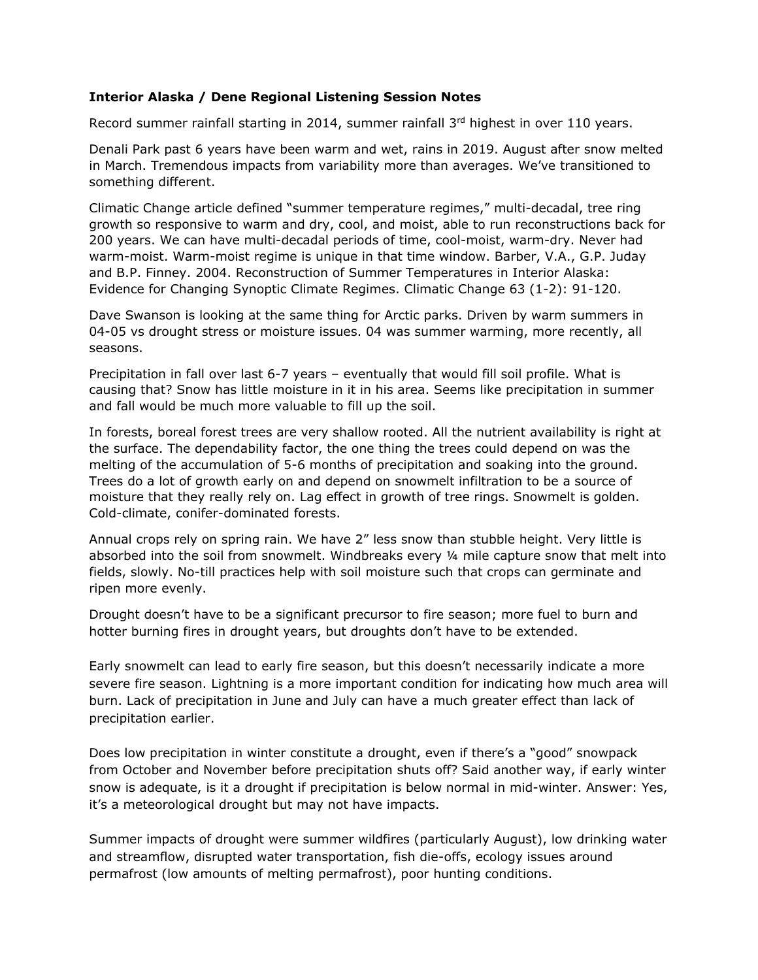### **Interior Alaska / Dene Regional Listening Session Notes**

Record summer rainfall starting in 2014, summer rainfall 3rd highest in over 110 years.

Denali Park past 6 years have been warm and wet, rains in 2019. August after snow melted in March. Tremendous impacts from variability more than averages. We've transitioned to something different.

Climatic Change article defined "summer temperature regimes," multi-decadal, tree ring growth so responsive to warm and dry, cool, and moist, able to run reconstructions back for 200 years. We can have multi-decadal periods of time, cool-moist, warm-dry. Never had warm-moist. Warm-moist regime is unique in that time window. Barber, V.A., G.P. Juday and B.P. Finney. 2004. Reconstruction of Summer Temperatures in Interior Alaska: Evidence for Changing Synoptic Climate Regimes. Climatic Change 63 (1-2): 91-120.

Dave Swanson is looking at the same thing for Arctic parks. Driven by warm summers in 04-05 vs drought stress or moisture issues. 04 was summer warming, more recently, all seasons.

Precipitation in fall over last 6-7 years – eventually that would fill soil profile. What is causing that? Snow has little moisture in it in his area. Seems like precipitation in summer and fall would be much more valuable to fill up the soil.

In forests, boreal forest trees are very shallow rooted. All the nutrient availability is right at the surface. The dependability factor, the one thing the trees could depend on was the melting of the accumulation of 5-6 months of precipitation and soaking into the ground. Trees do a lot of growth early on and depend on snowmelt infiltration to be a source of moisture that they really rely on. Lag effect in growth of tree rings. Snowmelt is golden. Cold-climate, conifer-dominated forests.

Annual crops rely on spring rain. We have 2" less snow than stubble height. Very little is absorbed into the soil from snowmelt. Windbreaks every ¼ mile capture snow that melt into fields, slowly. No-till practices help with soil moisture such that crops can germinate and ripen more evenly.

Drought doesn't have to be a significant precursor to fire season; more fuel to burn and hotter burning fires in drought years, but droughts don't have to be extended.

Early snowmelt can lead to early fire season, but this doesn't necessarily indicate a more severe fire season. Lightning is a more important condition for indicating how much area will burn. Lack of precipitation in June and July can have a much greater effect than lack of precipitation earlier.

Does low precipitation in winter constitute a drought, even if there's a "good" snowpack from October and November before precipitation shuts off? Said another way, if early winter snow is adequate, is it a drought if precipitation is below normal in mid-winter. Answer: Yes, it's a meteorological drought but may not have impacts.

Summer impacts of drought were summer wildfires (particularly August), low drinking water and streamflow, disrupted water transportation, fish die-offs, ecology issues around permafrost (low amounts of melting permafrost), poor hunting conditions.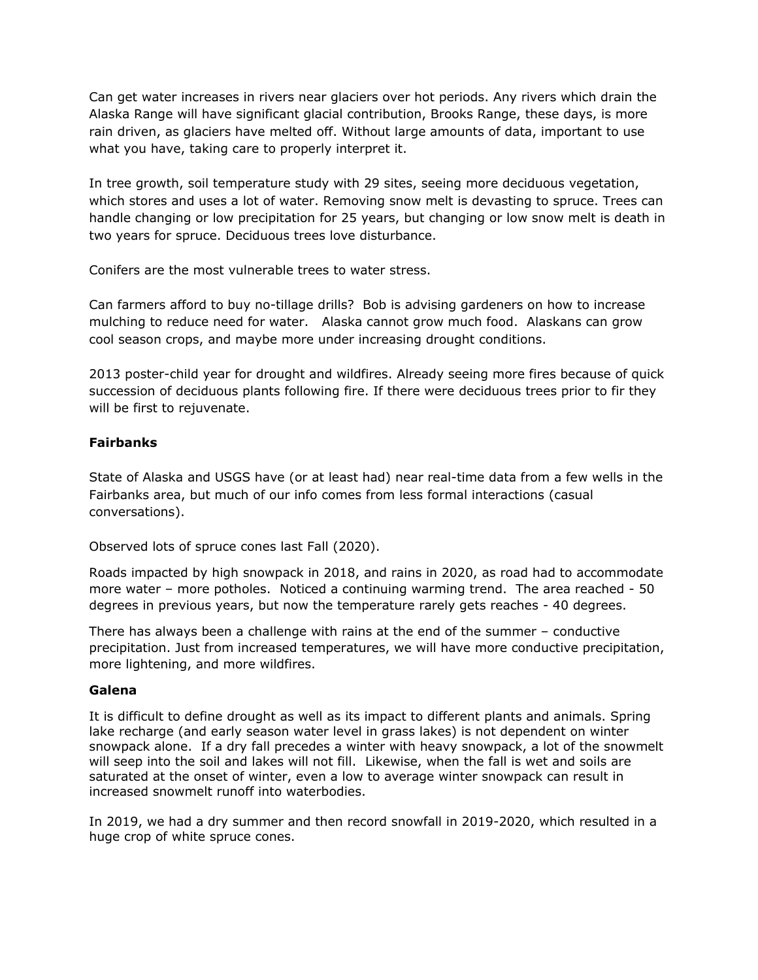Can get water increases in rivers near glaciers over hot periods. Any rivers which drain the Alaska Range will have significant glacial contribution, Brooks Range, these days, is more rain driven, as glaciers have melted off. Without large amounts of data, important to use what you have, taking care to properly interpret it.

In tree growth, soil temperature study with 29 sites, seeing more deciduous vegetation, which stores and uses a lot of water. Removing snow melt is devasting to spruce. Trees can handle changing or low precipitation for 25 years, but changing or low snow melt is death in two years for spruce. Deciduous trees love disturbance.

Conifers are the most vulnerable trees to water stress.

Can farmers afford to buy no-tillage drills? Bob is advising gardeners on how to increase mulching to reduce need for water. Alaska cannot grow much food. Alaskans can grow cool season crops, and maybe more under increasing drought conditions.

2013 poster-child year for drought and wildfires. Already seeing more fires because of quick succession of deciduous plants following fire. If there were deciduous trees prior to fir they will be first to rejuvenate.

## **Fairbanks**

State of Alaska and USGS have (or at least had) near real-time data from a few wells in the Fairbanks area, but much of our info comes from less formal interactions (casual conversations).

Observed lots of spruce cones last Fall (2020).

Roads impacted by high snowpack in 2018, and rains in 2020, as road had to accommodate more water – more potholes. Noticed a continuing warming trend. The area reached - 50 degrees in previous years, but now the temperature rarely gets reaches - 40 degrees.

There has always been a challenge with rains at the end of the summer – conductive precipitation. Just from increased temperatures, we will have more conductive precipitation, more lightening, and more wildfires.

#### **Galena**

It is difficult to define drought as well as its impact to different plants and animals. Spring lake recharge (and early season water level in grass lakes) is not dependent on winter snowpack alone. If a dry fall precedes a winter with heavy snowpack, a lot of the snowmelt will seep into the soil and lakes will not fill. Likewise, when the fall is wet and soils are saturated at the onset of winter, even a low to average winter snowpack can result in increased snowmelt runoff into waterbodies.

In 2019, we had a dry summer and then record snowfall in 2019-2020, which resulted in a huge crop of white spruce cones.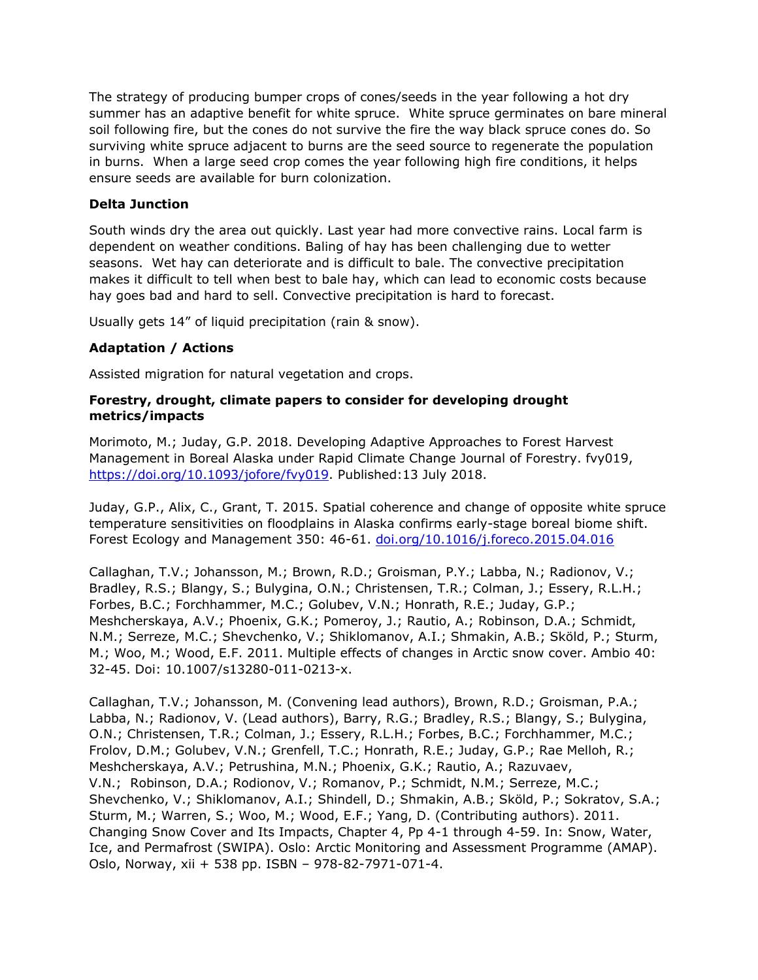The strategy of producing bumper crops of cones/seeds in the year following a hot dry summer has an adaptive benefit for white spruce. White spruce germinates on bare mineral soil following fire, but the cones do not survive the fire the way black spruce cones do. So surviving white spruce adjacent to burns are the seed source to regenerate the population in burns. When a large seed crop comes the year following high fire conditions, it helps ensure seeds are available for burn colonization.

## **Delta Junction**

South winds dry the area out quickly. Last year had more convective rains. Local farm is dependent on weather conditions. Baling of hay has been challenging due to wetter seasons. Wet hay can deteriorate and is difficult to bale. The convective precipitation makes it difficult to tell when best to bale hay, which can lead to economic costs because hay goes bad and hard to sell. Convective precipitation is hard to forecast.

Usually gets 14" of liquid precipitation (rain & snow).

# **Adaptation / Actions**

Assisted migration for natural vegetation and crops.

### **Forestry, drought, climate papers to consider for developing drought metrics/impacts**

Morimoto, M.; Juday, G.P. 2018. Developing Adaptive Approaches to Forest Harvest Management in Boreal Alaska under Rapid Climate Change Journal of Forestry. fvy019, [https://doi.org/10.1093/jofore/fvy019.](https://gcc02.safelinks.protection.outlook.com/?url=https%3A%2F%2Fdoi.org%2F10.1093%2Fjofore%2Ffvy019&data=04%7C01%7C%7C1bc826214d794aaae9f008d8e8cf9691%7Ced5b36e701ee4ebc867ee03cfa0d4697%7C0%7C0%7C637515325565617315%7CUnknown%7CTWFpbGZsb3d8eyJWIjoiMC4wLjAwMDAiLCJQIjoiV2luMzIiLCJBTiI6Ik1haWwiLCJXVCI6Mn0%3D%7C1000&sdata=G%2FIQBJSIB2OeR75DlItdfX%2FDOiJc6RWdv4HhIY555UM%3D&reserved=0) Published:13 July 2018.

Juday, G.P., Alix, C., Grant, T. 2015. Spatial coherence and change of opposite white spruce temperature sensitivities on floodplains in Alaska confirms early-stage boreal biome shift. Forest Ecology and Management 350: 46-61. [doi.org/10.1016/j.foreco.2015.04.016](https://gcc02.safelinks.protection.outlook.com/?url=http%3A%2F%2Fdoi.org%2F10.1016%2Fj.foreco.2015.04.016&data=04%7C01%7C%7C1bc826214d794aaae9f008d8e8cf9691%7Ced5b36e701ee4ebc867ee03cfa0d4697%7C0%7C0%7C637515325565617315%7CUnknown%7CTWFpbGZsb3d8eyJWIjoiMC4wLjAwMDAiLCJQIjoiV2luMzIiLCJBTiI6Ik1haWwiLCJXVCI6Mn0%3D%7C1000&sdata=NPAoqv0M%2FcWJi1AT7VF%2BRCl0nMLWyofUVa2yTNXj3a4%3D&reserved=0)

Callaghan, T.V.; Johansson, M.; Brown, R.D.; Groisman, P.Y.; Labba, N.; Radionov, V.; Bradley, R.S.; Blangy, S.; Bulygina, O.N.; Christensen, T.R.; Colman, J.; Essery, R.L.H.; Forbes, B.C.; Forchhammer, M.C.; Golubev, V.N.; Honrath, R.E.; Juday, G.P.; Meshcherskaya, A.V.; Phoenix, G.K.; Pomeroy, J.; Rautio, A.; Robinson, D.A.; Schmidt, N.M.; Serreze, M.C.; Shevchenko, V.; Shiklomanov, A.I.; Shmakin, A.B.; Sköld, P.; Sturm, M.; Woo, M.; Wood, E.F. 2011. Multiple effects of changes in Arctic snow cover. Ambio 40: 32-45. Doi: 10.1007/s13280-011-0213-x.

Callaghan, T.V.; Johansson, M. (Convening lead authors), Brown, R.D.; Groisman, P.A.; Labba, N.; Radionov, V. (Lead authors), Barry, R.G.; Bradley, R.S.; Blangy, S.; Bulygina, O.N.; Christensen, T.R.; Colman, J.; Essery, R.L.H.; Forbes, B.C.; Forchhammer, M.C.; Frolov, D.M.; Golubev, V.N.; Grenfell, T.C.; Honrath, R.E.; Juday, G.P.; Rae Melloh, R.; Meshcherskaya, A.V.; Petrushina, M.N.; Phoenix, G.K.; Rautio, A.; Razuvaev, V.N.; Robinson, D.A.; Rodionov, V.; Romanov, P.; Schmidt, N.M.; Serreze, M.C.; Shevchenko, V.; Shiklomanov, A.I.; Shindell, D.; Shmakin, A.B.; Sköld, P.; Sokratov, S.A.; Sturm, M.; Warren, S.; Woo, M.; Wood, E.F.; Yang, D. (Contributing authors). 2011. Changing Snow Cover and Its Impacts, Chapter 4, Pp 4-1 through 4-59. In: Snow, Water, Ice, and Permafrost (SWIPA). Oslo: Arctic Monitoring and Assessment Programme (AMAP). Oslo, Norway, xii + 538 pp. ISBN – 978-82-7971-071-4.